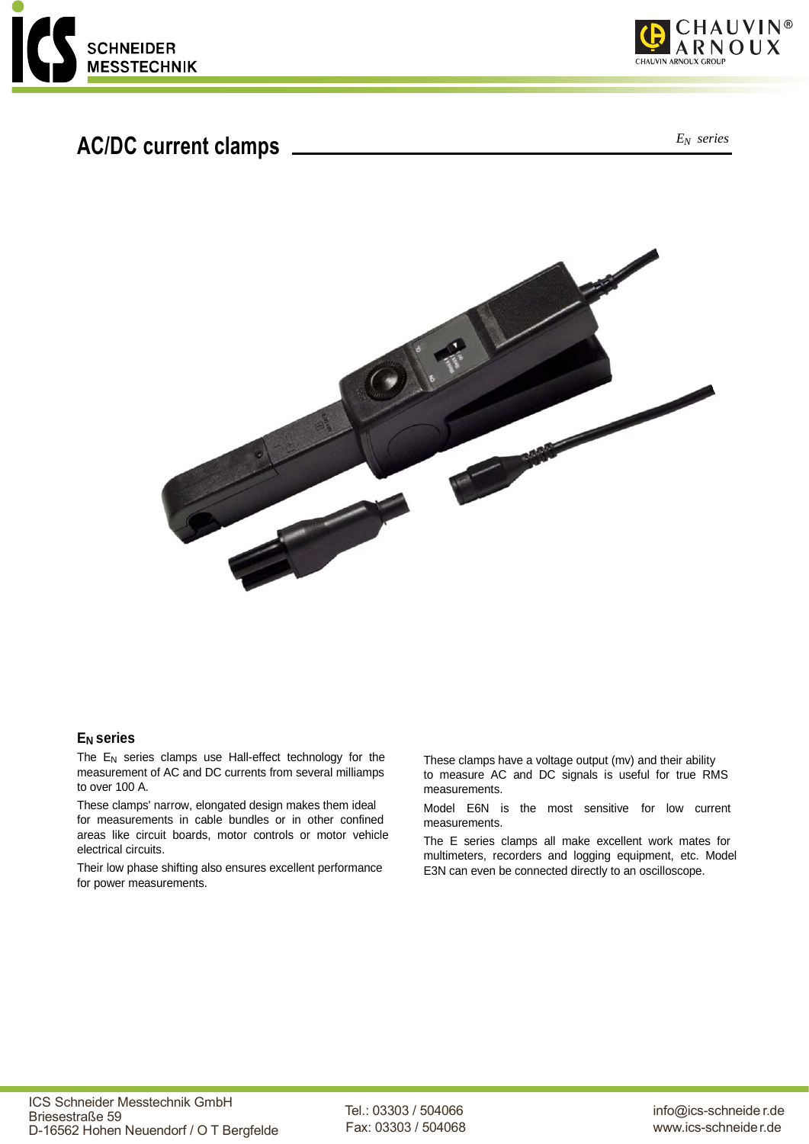

# *<sup>E</sup>N series* **AC/DC current clamps**





#### **EN series**

The  $E_N$  series clamps use Hall-effect technology for the measurement of AC and DC currents from several milliamps to over 100 A.

These clamps' narrow, elongated design makes them ideal for measurements in cable bundles or in other confined areas like circuit boards, motor controls or motor vehicle electrical circuits.

Their low phase shifting also ensures excellent performance for power measurements.

These clamps have a voltage output (mv) and their ability to measure AC and DC signals is useful for true RMS measurements.

Model E6N is the most sensitive for low current measurements.

The E series clamps all make excellent work mates for multimeters, recorders and logging equipment, etc. Model E3N can even be connected directly to an oscilloscope.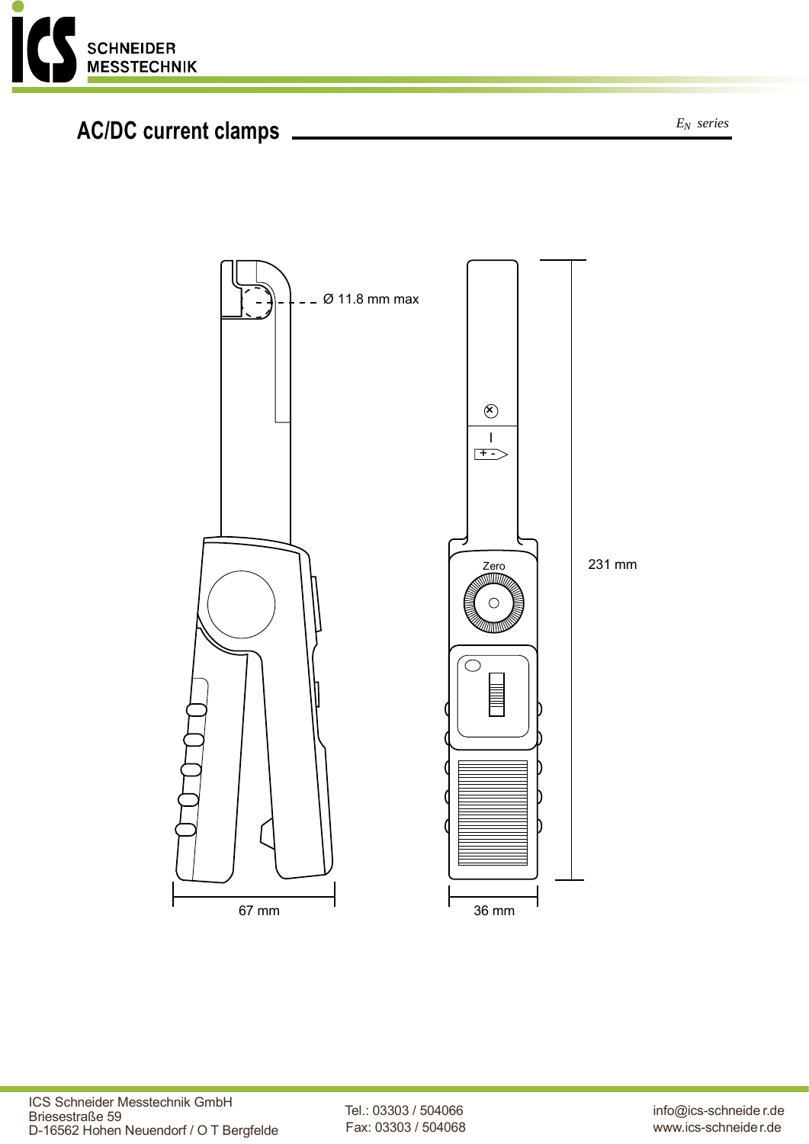![](_page_1_Picture_0.jpeg)

# *<sup>E</sup>N series* **AC/DC current clamps**

![](_page_1_Figure_3.jpeg)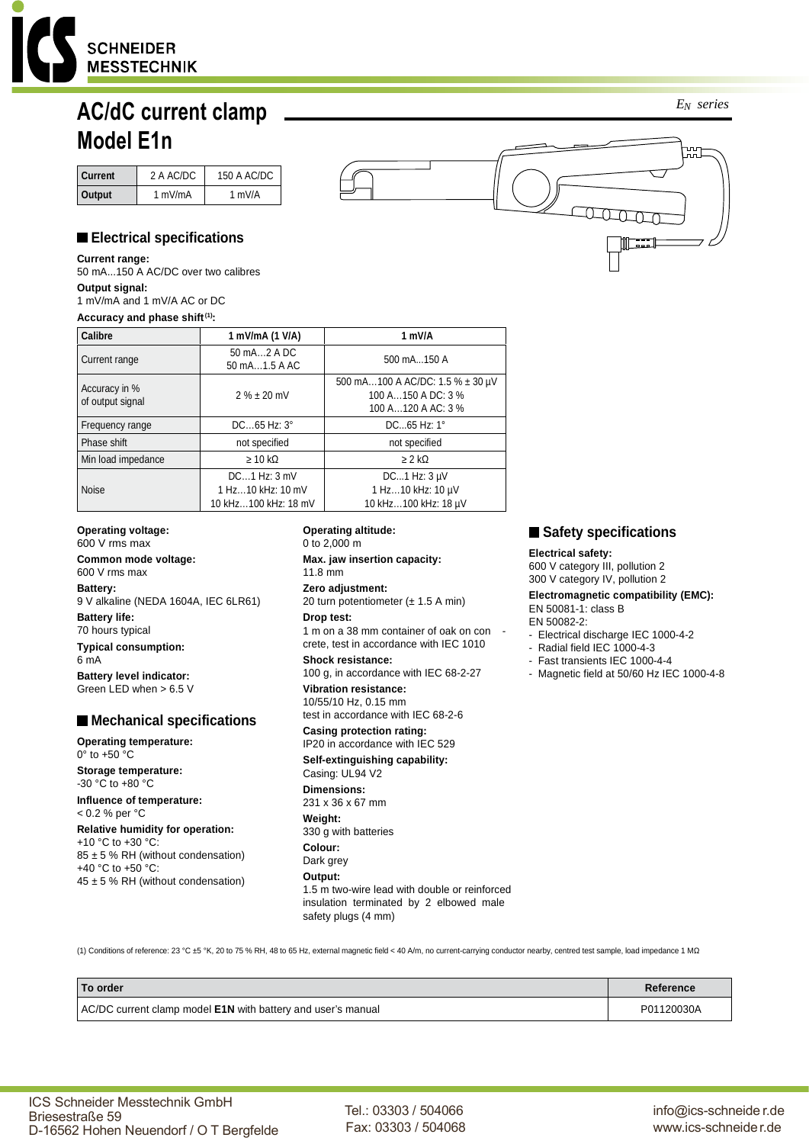![](_page_2_Picture_0.jpeg)

# **AC/dC current clamp Model E1n**

| Current | 2 A AC/DC | 150 A AC/DC |
|---------|-----------|-------------|
| Output  | 1 mV/mA   | 1 mV/A      |

# **Electrical specifications**

**Current range:**  50 mA...150 A AC/DC over two calibres **Output signal:**  1 mV/mA and 1 mV/A AC or DC **Accuracy and phase shift (1):**

| Calibre                           | 1 mV/mA (1 V/A)                                               | 1 mV/A                                                                       |
|-----------------------------------|---------------------------------------------------------------|------------------------------------------------------------------------------|
| Current range                     | 50 mA2 A DC<br>50 mA1.5 A AC                                  | 500 mA150 A                                                                  |
| Accuracy in %<br>of output signal | $2 \% \pm 20$ mV                                              | 500 mA100 A AC/DC: 1.5 % ± 30 μV<br>100 A150 A DC: 3 %<br>100 A120 A AC: 3 % |
| Frequency range                   | $DC65$ Hz: $3^\circ$                                          | DC65 Hz: 1°                                                                  |
| Phase shift                       | not specified                                                 | not specified                                                                |
| Min load impedance                | $\geq 10$ kΩ                                                  | $\geq 2$ kΩ                                                                  |
| <b>Noise</b>                      | $DC1$ Hz: $3$ mV<br>1 Hz10 kHz: 10 mV<br>10 kHz100 kHz: 18 mV | DC1 Hz: $3 \mu V$<br>1 Hz10 kHz: 10 µV<br>10 kHz100 kHz: 18 µV               |

**Operating voltage:**  600 V rms max **Common mode voltage:** 

600 V rms max **Battery:**  9 V alkaline (NEDA 1604A, IEC 6LR61) **Battery life:**  70 hours typical **Typical consumption:**  6 mA

**Battery level indicator:**  Green LED when > 6.5 V

### **Mechanical specifications**

**Operating temperature:**  0° to +50 °C

**Storage temperature:**  -30 °C to +80 °C **Influence of temperature:** 

< 0.2 % per °C

**Relative humidity for operation:**  +10 °C to +30 °C: 85 ± 5 % RH (without condensation) +40 °C to +50 °C:  $45 \pm 5$  % RH (without condensation)

#### **Operating altitude:**  0 to 2,000 m

**Max. jaw insertion capacity:**  11.8 mm

**Zero adjustment:**  20 turn potentiometer (± 1.5 A min)

### **Drop test:**

1 m on a 38 mm container of oak on con crete, test in accordance with IEC 1010

#### **Shock resistance:**

100 g, in accordance with IEC 68-2-27 **Vibration resistance:** 

10/55/10 Hz, 0.15 mm test in accordance with IEC 68-2-6

**Casing protection rating:** 

IP20 in accordance with IEC 529 **Self-extinguishing capability:** 

Casing: UL94 V2 **Dimensions:**  231 x 36 x 67 mm **Weight:**  330 g with batteries **Colour:**  Dark grey **Output:**  1.5 m two-wire lead with double or reinforced insulation terminated by 2 elbowed male safety plugs (4 mm)

**Safety specifications** 

#### **Electrical safety:**

600 V category III, pollution 2 300 V category IV, pollution 2 **Electromagnetic compatibility (EMC):** EN 50081-1: class B EN 50082-2:

- Electrical discharge IEC 1000-4-2
- Radial field IEC 1000-4-3
- Fast transients IEC 1000-4-4
- Magnetic field at 50/60 Hz IEC 1000-4-8

(1) Conditions of reference: 23 °C ±5 °K, 20 to 75 % RH, 48 to 65 Hz, external magnetic field < 40 A/m, no current-carrying conductor nearby, centred test sample, load impedance 1 MΩ

| <b>To order</b>                                                     | Reference  |
|---------------------------------------------------------------------|------------|
| AC/DC current clamp model <b>E1N</b> with battery and user's manual | P01120030A |

Tel.: 03303 / 504066 Fax: 03303 / 504068 *EN series*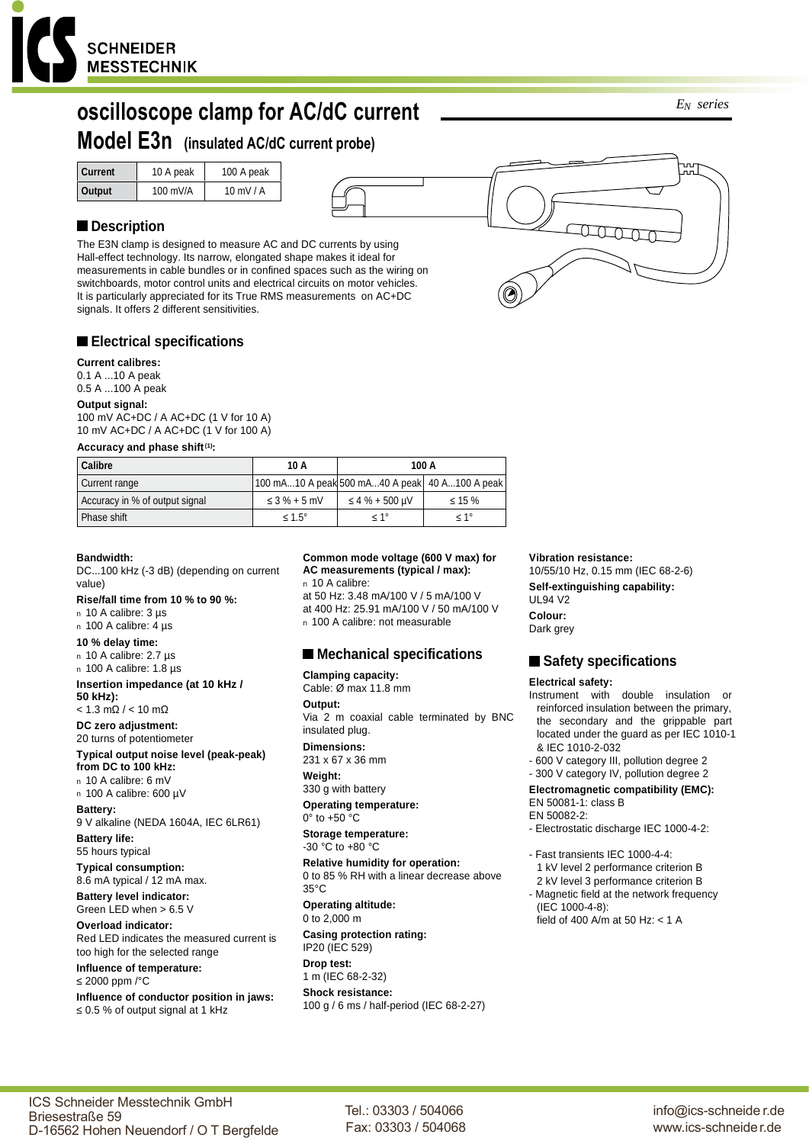![](_page_3_Picture_0.jpeg)

# **oscilloscope clamp for AC/dC current**

## **Model E3n (insulated AC/dC current probe)**

| 100 mV/A<br>$10$ mV $/$ A<br>Output |  |
|-------------------------------------|--|

### ■ Description

The E3N clamp is designed to measure AC and DC currents by using Hall-effect technology. Its narrow, elongated shape makes it ideal for measurements in cable bundles or in confined spaces such as the wiring on switchboards, motor control units and electrical circuits on motor vehicles. It is particularly appreciated for its True RMS measurements on AC+DC signals. It offers 2 different sensitivities.

#### **Electrical specifications**

#### **Current calibres:**

0.1 A ...10 A peak 0.5 A ...100 A peak

#### **Output signal:**

100 mV AC+DC / A AC+DC (1 V for 10 A) 10 mV AC+DC / A AC+DC (1 V for 100 A)

#### **Accuracy and phase shift (1):**

| Calibre                        | 10 A               | 100 A                                            |                  |
|--------------------------------|--------------------|--------------------------------------------------|------------------|
| Current range                  |                    | 100 mA10 A peak 500 mA40 A peak   40 A100 A peak |                  |
| Accuracy in % of output signal | $\leq$ 3 % + 5 mV  | ≤ 4 % + 500 uV                                   | $\leq 15\%$      |
| Phase shift                    | $\leq 1.5^{\circ}$ | $< 1^{\circ}$                                    | $\leq 1^{\circ}$ |

#### **Bandwidth:**

DC...100 kHz (-3 dB) (depending on current value)

#### **Rise/fall time from 10 % to 90 %:**

n 10 A calibre: 3 µs n 100 A calibre: 4 µs

### **10 % delay time:**

n 10 A calibre: 2.7 µs

### n 100 A calibre: 1.8 µs

**Insertion impedance (at 10 kHz / 50 kHz):**

 $< 1.3$  mΩ /  $< 10$  mΩ

**DC zero adjustment:** 20 turns of potentiometer

#### **Typical output noise level (peak-peak) from DC to 100 kHz:**

n 10 A calibre: 6 mV n 100 A calibre: 600 µV

#### **Battery:**

9 V alkaline (NEDA 1604A, IEC 6LR61)

**Battery life:**  55 hours typical **Typical consumption:**

8.6 mA typical / 12 mA max. **Battery level indicator:**

Green LED when > 6.5 V

**Overload indicator:** Red LED indicates the measured current is too high for the selected range

#### **Influence of temperature:**

≤ 2000 ppm /°C

Briesestraße 59

**Influence of conductor position in jaws:** ≤ 0.5 % of output signal at 1 kHz

#### **Common mode voltage (600 V max) for AC measurements (typical / max):**

n 10 A calibre: at 50 Hz: 3.48 mA/100 V / 5 mA/100 V at 400 Hz: 25.91 mA/100 V / 50 mA/100 V n 100 A calibre: not measurable

#### **Mechanical specifications**

#### **Clamping capacity:**

Cable: Ø max 11.8 mm **Output:**  Via 2 m coaxial cable terminated by BNC insulated plug.

#### **Dimensions:**

231 x 67 x 36 mm **Weight:** 

### 330 g with battery

**Operating temperature:** 0° to +50 °C

**Storage temperature:**  -30 °C to +80 °C

**Relative humidity for operation:** 0 to 85 % RH with a linear decrease above 35°C

**Operating altitude:**  0 to 2,000 m

#### **Casing protection rating:** IP20 (IEC 529)

**Drop test:**  1 m (IEC 68-2-32)

#### **Shock resistance:** 100 g / 6 ms / half-period (IEC 68-2-27)

#### **Vibration resistance:**

10/55/10 Hz, 0.15 mm (IEC 68-2-6) **Self-extinguishing capability:**  UL94 V2 **Colour:** 

Dark grey

#### **Safety specifications**

#### **Electrical safety:**

- Instrument with double insulation or reinforced insulation between the primary, the secondary and the grippable part located under the guard as per IEC 1010-1 & IEC 1010-2-032
- 600 V category III, pollution degree 2
- 300 V category IV, pollution degree 2

#### **Electromagnetic compatibility (EMC):** EN 50081-1: class B

- EN 50082-2:
- Electrostatic discharge IEC 1000-4-2:

### - Fast transients IEC 1000-4-4:

- 1 kV level 2 performance criterion B 2 kV level 3 performance criterion B
- Magnetic field at the network frequency (IEC 1000-4-8):
- field of 400 A/m at 50 Hz: < 1 A

info@ics-schneide r.de www.ics-schneider.de

*EN series*

![](_page_3_Picture_67.jpeg)

ICS Schneider Messtechnik GmbH D-16562 Hohen Neuendorf / O T Bergfelde

Tel.: 03303 / 504066 Fax: 03303 / 504068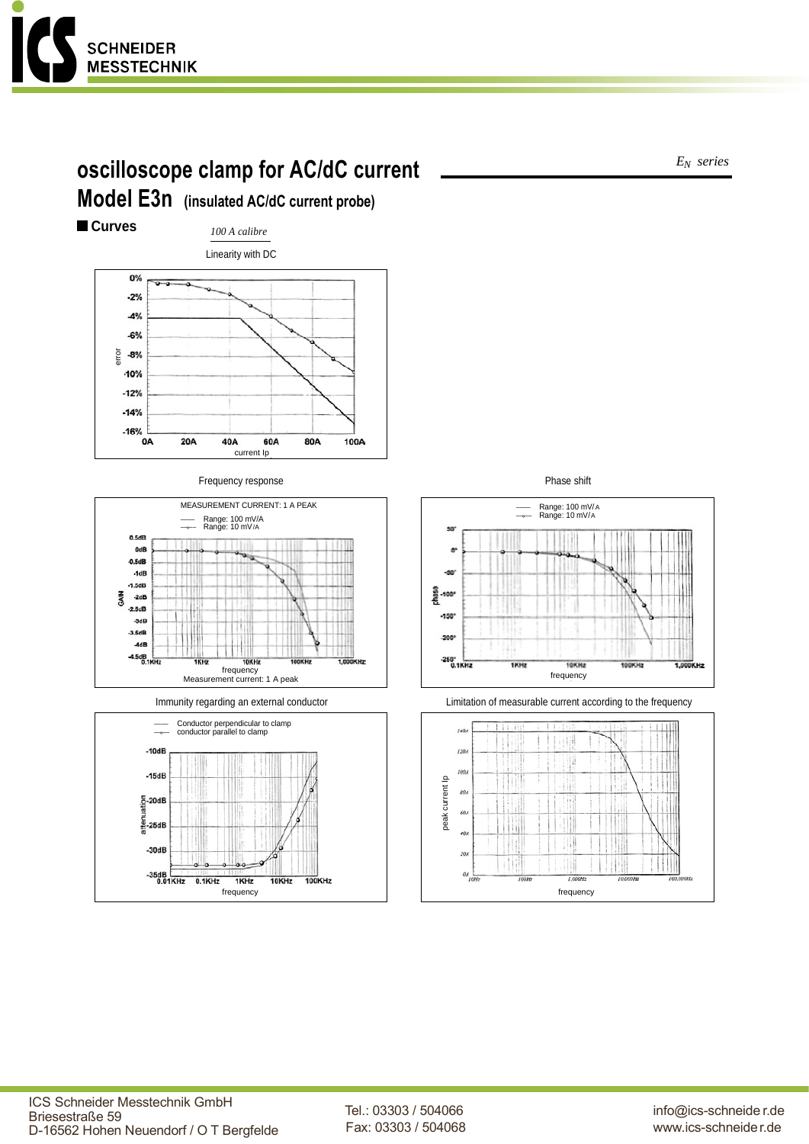![](_page_4_Picture_0.jpeg)

# **oscilloscope clamp for AC/dC current Model E3n (insulated AC/dC current probe)**

**Curves** *100 A calibre* Linearity with DC 0%  $-2%$  $-4%$  $-6%$  $rac{6}{10}$  -8% 10%

![](_page_4_Figure_3.jpeg)

Frequency response **Phase shift** 

![](_page_4_Figure_5.jpeg)

![](_page_4_Figure_7.jpeg)

![](_page_4_Figure_9.jpeg)

![](_page_4_Figure_10.jpeg)

*EN series*

ICS Schneider Messtechnik GmbH Briesestraße 59 D-16562 Hohen Neuendorf / O T Bergfelde

Tel.: 03303 / 504066 Fax: 03303 / 504068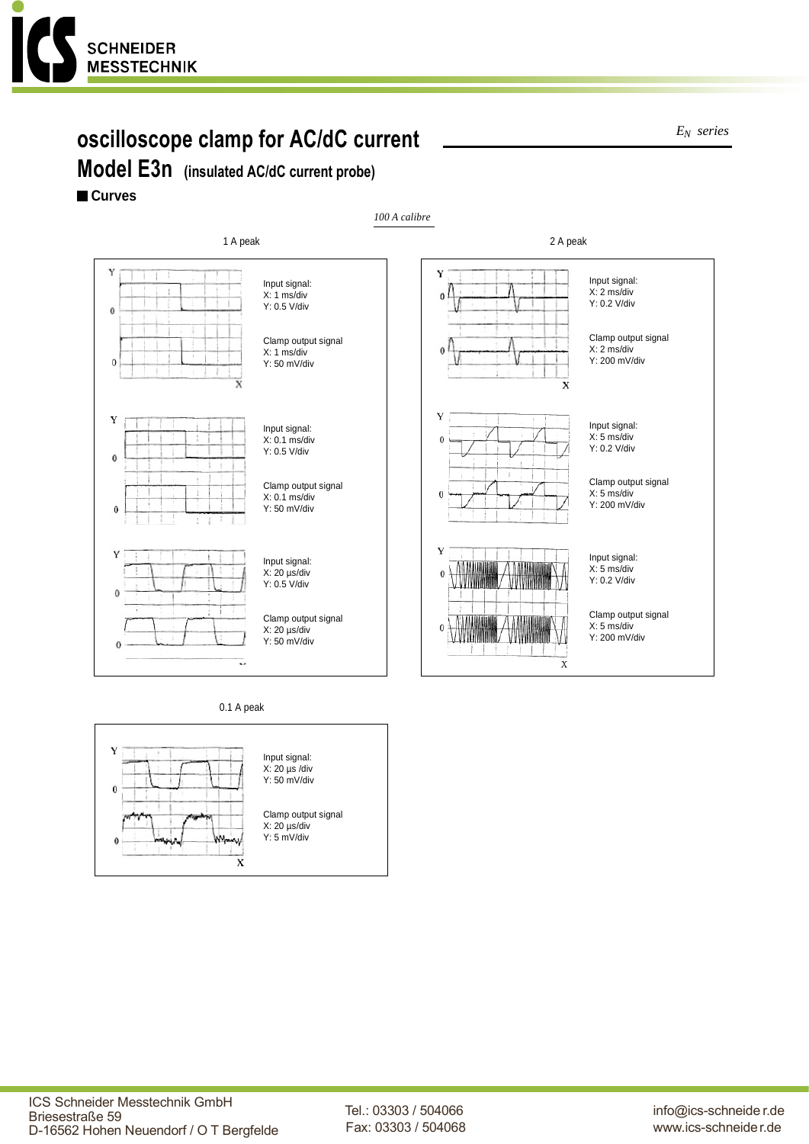![](_page_5_Picture_0.jpeg)

# **oscilloscope clamp for AC/dC current**

**Model E3n (insulated AC/dC current probe)**

### **Curves**

![](_page_5_Figure_4.jpeg)

0.1 A peak

![](_page_5_Figure_6.jpeg)

*EN series*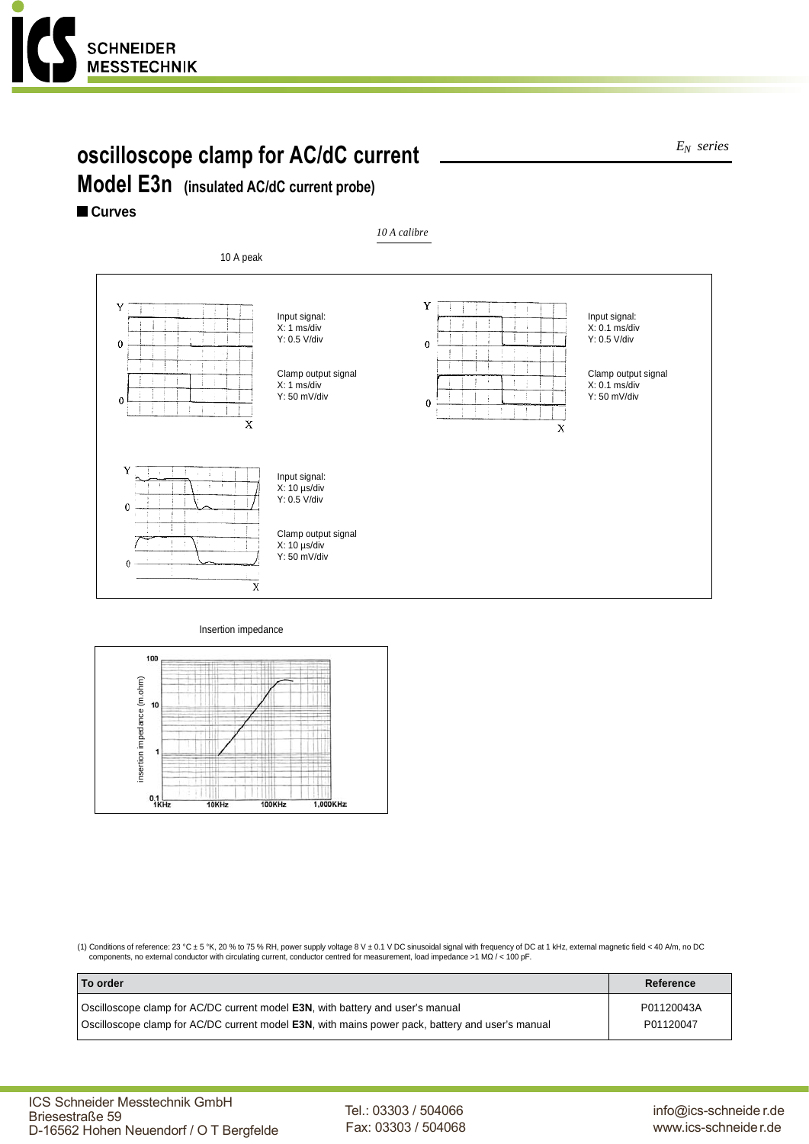![](_page_6_Picture_0.jpeg)

# **oscilloscope clamp for AC/dC current**

*EN series*

# **Model E3n (insulated AC/dC current probe)**

**Curves**

![](_page_6_Figure_5.jpeg)

#### Insertion impedance

![](_page_6_Figure_7.jpeg)

(1) Conditions of reference: 23 °C ± 5 °K, 20 % to 75 % RH, power supply voltage 8 V ± 0.1 V DC sinusoidal signal with frequency of DC at 1 kHz, external magnetic field < 40 A/m, no DC<br>components, no external conductor wi

| To order                                                                                                 | Reference  |
|----------------------------------------------------------------------------------------------------------|------------|
| Oscilloscope clamp for AC/DC current model <b>E3N</b> , with battery and user's manual                   | P01120043A |
| Oscilloscope clamp for AC/DC current model <b>E3N</b> , with mains power pack, battery and user's manual | P01120047  |

Tel.: 03303 / 504066 Fax: 03303 / 504068